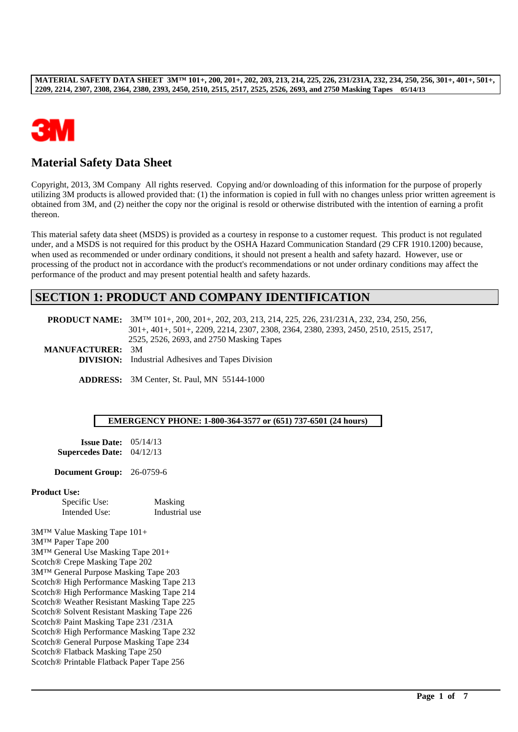

# **Material Safety Data Sheet**

Copyright, 2013, 3M Company All rights reserved. Copying and/or downloading of this information for the purpose of properly utilizing 3M products is allowed provided that: (1) the information is copied in full with no changes unless prior written agreement is obtained from 3M, and (2) neither the copy nor the original is resold or otherwise distributed with the intention of earning a profit thereon.

This material safety data sheet (MSDS) is provided as a courtesy in response to a customer request. This product is not regulated under, and a MSDS is not required for this product by the OSHA Hazard Communication Standard (29 CFR 1910.1200) because, when used as recommended or under ordinary conditions, it should not present a health and safety hazard. However, use or processing of the product not in accordance with the product's recommendations or not under ordinary conditions may affect the performance of the product and may present potential health and safety hazards.

## **SECTION 1: PRODUCT AND COMPANY IDENTIFICATION**

|                         | <b>PRODUCT NAME:</b> 3M <sup>TM</sup> 101+, 200, 201+, 202, 203, 213, 214, 225, 226, 231/231A, 232, 234, 250, 256, |  |  |
|-------------------------|--------------------------------------------------------------------------------------------------------------------|--|--|
|                         | 301+, 401+, 501+, 2209, 2214, 2307, 2308, 2364, 2380, 2393, 2450, 2510, 2515, 2517,                                |  |  |
|                         | 2525, 2526, 2693, and 2750 Masking Tapes                                                                           |  |  |
| <b>MANUFACTURER: 3M</b> |                                                                                                                    |  |  |
|                         | <b>DIVICION</b> . Industrial Adhasives and Tenes Division.                                                         |  |  |

**DIVISION:** Industrial Adhesives and Tapes Division

**ADDRESS:** 3M Center, St. Paul, MN 55144-1000

#### **EMERGENCY PHONE: 1-800-364-3577 or (651) 737-6501 (24 hours)**

\_\_\_\_\_\_\_\_\_\_\_\_\_\_\_\_\_\_\_\_\_\_\_\_\_\_\_\_\_\_\_\_\_\_\_\_\_\_\_\_\_\_\_\_\_\_\_\_\_\_\_\_\_\_\_\_\_\_\_\_\_\_\_\_\_\_\_\_\_\_\_\_\_\_\_\_\_\_\_\_\_\_\_\_\_\_\_\_\_\_\_\_\_\_\_\_\_

**Issue Date:** 05/14/13 **Supercedes Date:** 04/12/13

**Document Group:** 26-0759-6

#### **Product Use:**

| Specific Use: | Masking        |
|---------------|----------------|
| Intended Use: | Industrial use |

3M™ Value Masking Tape 101+ 3M™ Paper Tape 200 3M™ General Use Masking Tape 201+ Scotch® Crepe Masking Tape 202 3M™ General Purpose Masking Tape 203 Scotch® High Performance Masking Tape 213 Scotch® High Performance Masking Tape 214 Scotch® Weather Resistant Masking Tape 225 Scotch® Solvent Resistant Masking Tape 226 Scotch® Paint Masking Tape 231 /231A Scotch® High Performance Masking Tape 232 Scotch® General Purpose Masking Tape 234 Scotch® Flatback Masking Tape 250 Scotch® Printable Flatback Paper Tape 256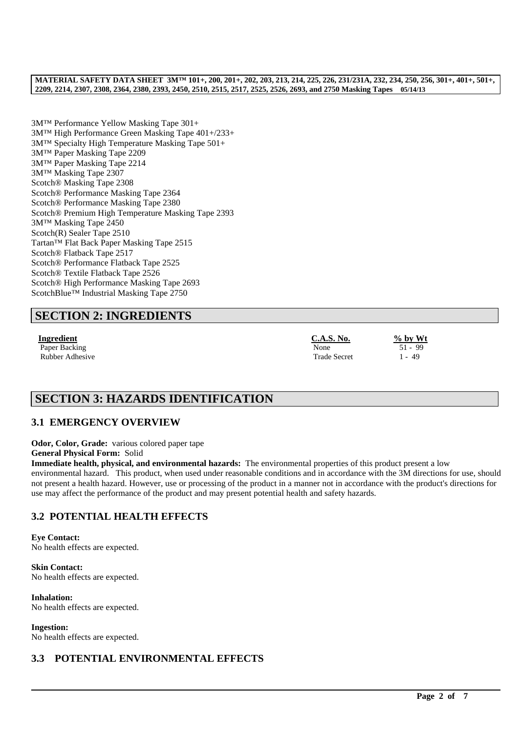3M™ Performance Yellow Masking Tape 301+ 3M™ High Performance Green Masking Tape 401+/233+ 3M™ Specialty High Temperature Masking Tape 501+ 3M™ Paper Masking Tape 2209 3M™ Paper Masking Tape 2214 3M™ Masking Tape 2307 Scotch® Masking Tape 2308 Scotch® Performance Masking Tape 2364 Scotch® Performance Masking Tape 2380 Scotch® Premium High Temperature Masking Tape 2393 3M™ Masking Tape 2450 Scotch(R) Sealer Tape 2510 Tartan™ Flat Back Paper Masking Tape 2515 Scotch® Flatback Tape 2517 Scotch® Performance Flatback Tape 2525 Scotch® Textile Flatback Tape 2526 Scotch® High Performance Masking Tape 2693 ScotchBlue™ Industrial Masking Tape 2750

# **SECTION 2: INGREDIENTS**

**Ingredient C.A.S. No. % by Wt** Paper Backing None 51 - 99 Rubber Adhesive 1 - 49

# **SECTION 3: HAZARDS IDENTIFICATION**

## **3.1 EMERGENCY OVERVIEW**

**Odor, Color, Grade:** various colored paper tape

**General Physical Form:** Solid

**Immediate health, physical, and environmental hazards:** The environmental properties of this product present a low environmental hazard. This product, when used under reasonable conditions and in accordance with the 3M directions for use, should not present a health hazard. However, use or processing of the product in a manner not in accordance with the product's directions for use may affect the performance of the product and may present potential health and safety hazards.

\_\_\_\_\_\_\_\_\_\_\_\_\_\_\_\_\_\_\_\_\_\_\_\_\_\_\_\_\_\_\_\_\_\_\_\_\_\_\_\_\_\_\_\_\_\_\_\_\_\_\_\_\_\_\_\_\_\_\_\_\_\_\_\_\_\_\_\_\_\_\_\_\_\_\_\_\_\_\_\_\_\_\_\_\_\_\_\_\_\_\_\_\_\_\_\_\_

# **3.2 POTENTIAL HEALTH EFFECTS**

**Eye Contact:** No health effects are expected.

**Skin Contact:** No health effects are expected.

**Inhalation:** No health effects are expected.

**Ingestion:** No health effects are expected.

## **3.3 POTENTIAL ENVIRONMENTAL EFFECTS**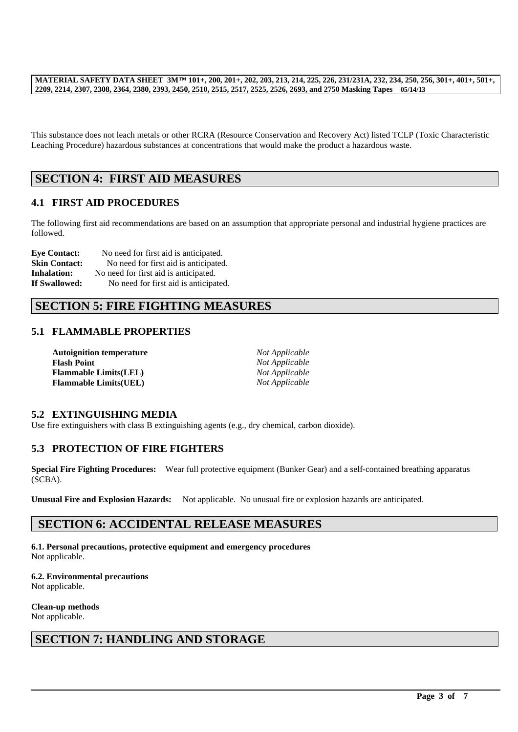This substance does not leach metals or other RCRA (Resource Conservation and Recovery Act) listed TCLP (Toxic Characteristic Leaching Procedure) hazardous substances at concentrations that would make the product a hazardous waste.

## **SECTION 4: FIRST AID MEASURES**

## **4.1 FIRST AID PROCEDURES**

The following first aid recommendations are based on an assumption that appropriate personal and industrial hygiene practices are followed.

**Eye Contact:** No need for first aid is anticipated. **Skin Contact:** No need for first aid is anticipated. **Inhalation:** No need for first aid is anticipated. **If Swallowed:** No need for first aid is anticipated.

# **SECTION 5: FIRE FIGHTING MEASURES**

## **5.1 FLAMMABLE PROPERTIES**

| <b>Autoignition temperature</b> | Not Applicable |
|---------------------------------|----------------|
| <b>Flash Point</b>              | Not Applicable |
| <b>Flammable Limits(LEL)</b>    | Not Applicable |
| <b>Flammable Limits(UEL)</b>    | Not Applicable |

### **5.2 EXTINGUISHING MEDIA**

Use fire extinguishers with class B extinguishing agents (e.g., dry chemical, carbon dioxide).

## **5.3 PROTECTION OF FIRE FIGHTERS**

**Special Fire Fighting Procedures:** Wear full protective equipment (Bunker Gear) and a self-contained breathing apparatus (SCBA).

\_\_\_\_\_\_\_\_\_\_\_\_\_\_\_\_\_\_\_\_\_\_\_\_\_\_\_\_\_\_\_\_\_\_\_\_\_\_\_\_\_\_\_\_\_\_\_\_\_\_\_\_\_\_\_\_\_\_\_\_\_\_\_\_\_\_\_\_\_\_\_\_\_\_\_\_\_\_\_\_\_\_\_\_\_\_\_\_\_\_\_\_\_\_\_\_\_

**Unusual Fire and Explosion Hazards:** Not applicable. No unusual fire or explosion hazards are anticipated.

## **SECTION 6: ACCIDENTAL RELEASE MEASURES**

**6.1. Personal precautions, protective equipment and emergency procedures** Not applicable.

**6.2. Environmental precautions** Not applicable.

**Clean-up methods** Not applicable.

## **SECTION 7: HANDLING AND STORAGE**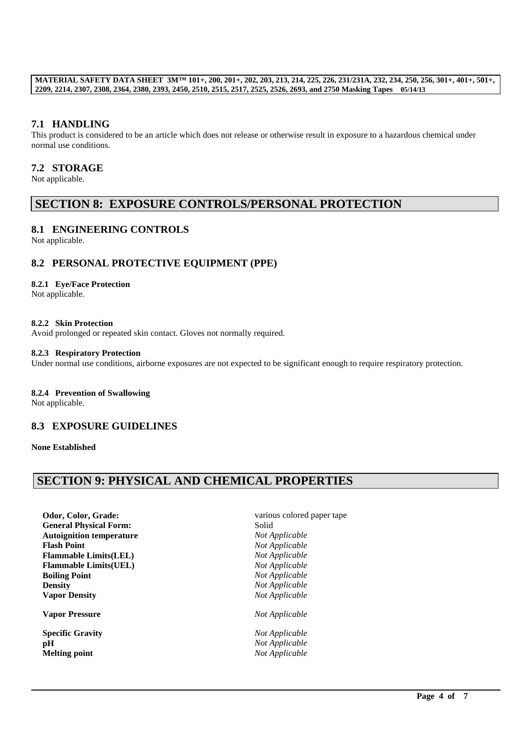## **7.1 HANDLING**

This product is considered to be an article which does not release or otherwise result in exposure to a hazardous chemical under normal use conditions.

### **7.2 STORAGE**

Not applicable.

## **SECTION 8: EXPOSURE CONTROLS/PERSONAL PROTECTION**

### **8.1 ENGINEERING CONTROLS**

Not applicable.

### **8.2 PERSONAL PROTECTIVE EQUIPMENT (PPE)**

#### **8.2.1 Eye/Face Protection**

Not applicable.

#### **8.2.2 Skin Protection**

Avoid prolonged or repeated skin contact. Gloves not normally required.

#### **8.2.3 Respiratory Protection**

Under normal use conditions, airborne exposures are not expected to be significant enough to require respiratory protection.

### **8.2.4 Prevention of Swallowing**

Not applicable.

### **8.3 EXPOSURE GUIDELINES**

**None Established**

# **SECTION 9: PHYSICAL AND CHEMICAL PROPERTIES**

**Odor, Color, Grade: various colored paper tape General Physical Form:** Solid **Autoignition temperature** *Not Applicable* **Flash Point** *Not Applicable* **Flammable Limits(LEL)** *Not Applicable* **Flammable Limits(UEL)** *Not Applicable* **Boiling Point** *Not Applicable* **Density** *Not Applicable* **Vapor Density** *Not Applicable*

**Vapor Pressure** *Not Applicable*

**Specific Gravity** *Not Applicable* **pH** *Not Applicable* **Melting point** *Not Applicable*

\_\_\_\_\_\_\_\_\_\_\_\_\_\_\_\_\_\_\_\_\_\_\_\_\_\_\_\_\_\_\_\_\_\_\_\_\_\_\_\_\_\_\_\_\_\_\_\_\_\_\_\_\_\_\_\_\_\_\_\_\_\_\_\_\_\_\_\_\_\_\_\_\_\_\_\_\_\_\_\_\_\_\_\_\_\_\_\_\_\_\_\_\_\_\_\_\_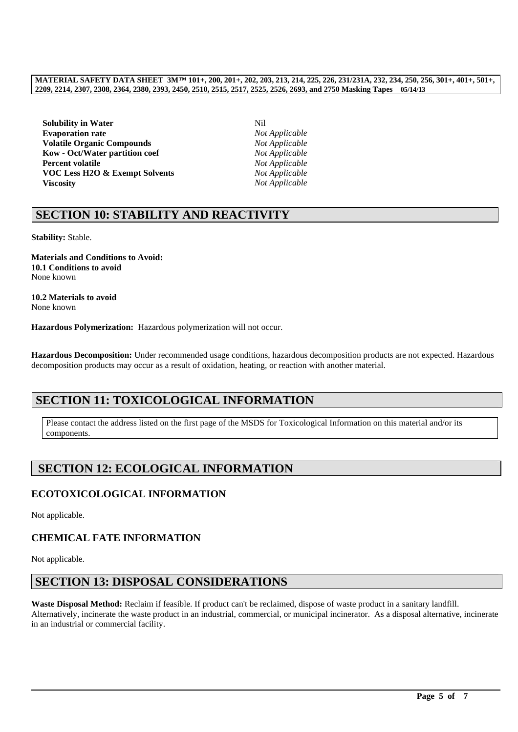**Solubility in Water** Nil **Evaporation rate** *Not Applicable* **Volatile Organic Compounds** *Not Applicable* **Kow - Oct/Water partition coef** *Not Applicable* **Percent volatile** *Not Applicable* **VOC Less H2O & Exempt Solvents** *Not Applicable* **Viscosity** *Not Applicable*

# **SECTION 10: STABILITY AND REACTIVITY**

**Stability:** Stable.

**Materials and Conditions to Avoid: 10.1 Conditions to avoid** None known

**10.2 Materials to avoid** None known

**Hazardous Polymerization:** Hazardous polymerization will not occur.

**Hazardous Decomposition:** Under recommended usage conditions, hazardous decomposition products are not expected. Hazardous decomposition products may occur as a result of oxidation, heating, or reaction with another material.

# **SECTION 11: TOXICOLOGICAL INFORMATION**

Please contact the address listed on the first page of the MSDS for Toxicological Information on this material and/or its components.

# **SECTION 12: ECOLOGICAL INFORMATION**

# **ECOTOXICOLOGICAL INFORMATION**

Not applicable.

# **CHEMICAL FATE INFORMATION**

Not applicable.

# **SECTION 13: DISPOSAL CONSIDERATIONS**

**Waste Disposal Method:** Reclaim if feasible. If product can't be reclaimed, dispose of waste product in a sanitary landfill. Alternatively, incinerate the waste product in an industrial, commercial, or municipal incinerator. As a disposal alternative, incinerate in an industrial or commercial facility.

\_\_\_\_\_\_\_\_\_\_\_\_\_\_\_\_\_\_\_\_\_\_\_\_\_\_\_\_\_\_\_\_\_\_\_\_\_\_\_\_\_\_\_\_\_\_\_\_\_\_\_\_\_\_\_\_\_\_\_\_\_\_\_\_\_\_\_\_\_\_\_\_\_\_\_\_\_\_\_\_\_\_\_\_\_\_\_\_\_\_\_\_\_\_\_\_\_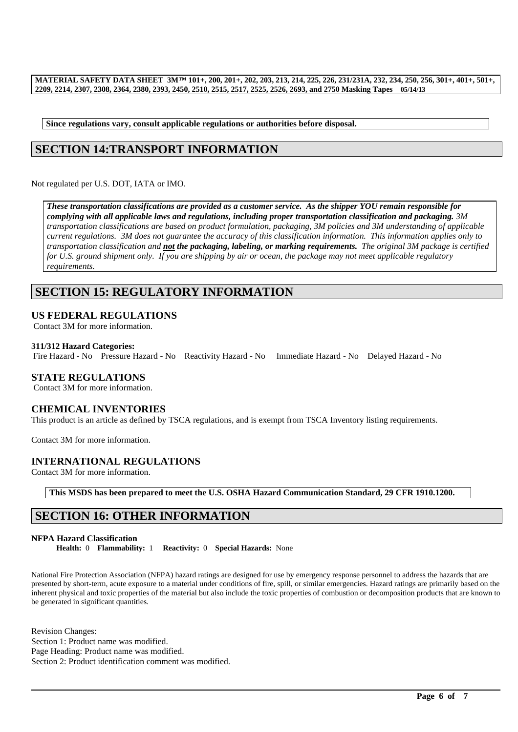**Since regulations vary, consult applicable regulations or authorities before disposal.**

# **SECTION 14:TRANSPORT INFORMATION**

Not regulated per U.S. DOT, IATA or IMO.

*These transportation classifications are provided as a customer service. As the shipper YOU remain responsible for complying with all applicable laws and regulations, including proper transportation classification and packaging. 3M transportation classifications are based on product formulation, packaging, 3M policies and 3M understanding of applicable current regulations. 3M does not guarantee the accuracy of this classification information. This information applies only to transportation classification and not the packaging, labeling, or marking requirements. The original 3M package is certified for U.S. ground shipment only. If you are shipping by air or ocean, the package may not meet applicable regulatory requirements.* 

# **SECTION 15: REGULATORY INFORMATION**

### **US FEDERAL REGULATIONS**

Contact 3M for more information.

### **311/312 Hazard Categories:**

Fire Hazard - No Pressure Hazard - No Reactivity Hazard - No Immediate Hazard - No Delayed Hazard - No

### **STATE REGULATIONS**

Contact 3M for more information.

## **CHEMICAL INVENTORIES**

This product is an article as defined by TSCA regulations, and is exempt from TSCA Inventory listing requirements.

Contact 3M for more information.

### **INTERNATIONAL REGULATIONS**

Contact 3M for more information.

**This MSDS has been prepared to meet the U.S. OSHA Hazard Communication Standard, 29 CFR 1910.1200.**

# **SECTION 16: OTHER INFORMATION**

#### **NFPA Hazard Classification**

**Health:** 0 **Flammability:** 1 **Reactivity:** 0 **Special Hazards:** None

National Fire Protection Association (NFPA) hazard ratings are designed for use by emergency response personnel to address the hazards that are presented by short-term, acute exposure to a material under conditions of fire, spill, or similar emergencies. Hazard ratings are primarily based on the inherent physical and toxic properties of the material but also include the toxic properties of combustion or decomposition products that are known to be generated in significant quantities.

\_\_\_\_\_\_\_\_\_\_\_\_\_\_\_\_\_\_\_\_\_\_\_\_\_\_\_\_\_\_\_\_\_\_\_\_\_\_\_\_\_\_\_\_\_\_\_\_\_\_\_\_\_\_\_\_\_\_\_\_\_\_\_\_\_\_\_\_\_\_\_\_\_\_\_\_\_\_\_\_\_\_\_\_\_\_\_\_\_\_\_\_\_\_\_\_\_

Revision Changes: Section 1: Product name was modified. Page Heading: Product name was modified. Section 2: Product identification comment was modified.